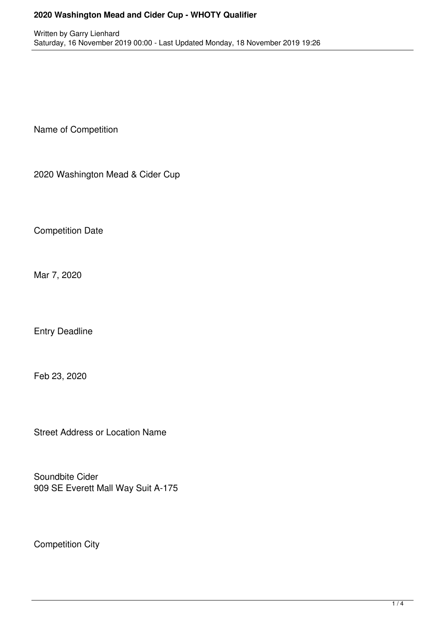## **2020 Washington Mead and Cider Cup - WHOTY Qualifier**

Name of Competition

2020 Washington Mead & Cider Cup

Competition Date

Mar 7, 2020

Entry Deadline

Feb 23, 2020

Street Address or Location Name

Soundbite Cider 909 SE Everett Mall Way Suit A-175

Competition City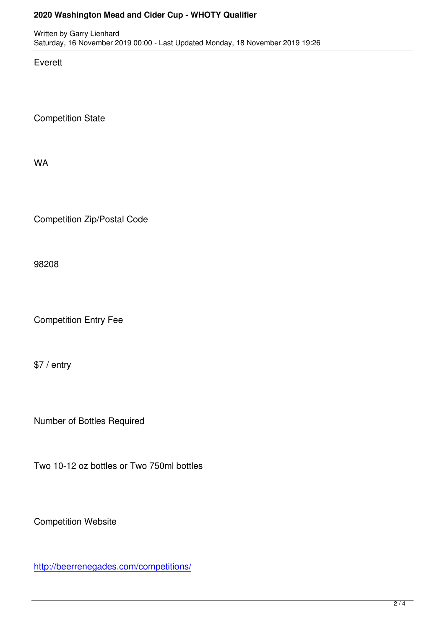Written by Garry Lienhard Lienhard Lienhard Lienhard Lienhard Lienhard Lienhard Lienhard Lienhard Lienhard Lie Saturday, 16 November 2019 00:00 - Last Updated Monday, 18 November 2019 19:26

Everett

Competition State

WA

Competition Zip/Postal Code

98208

Competition Entry Fee

\$7 / entry

Number of Bottles Required

Two 10-12 oz bottles or Two 750ml bottles

Competition Website

http://beerrenegades.com/competitions/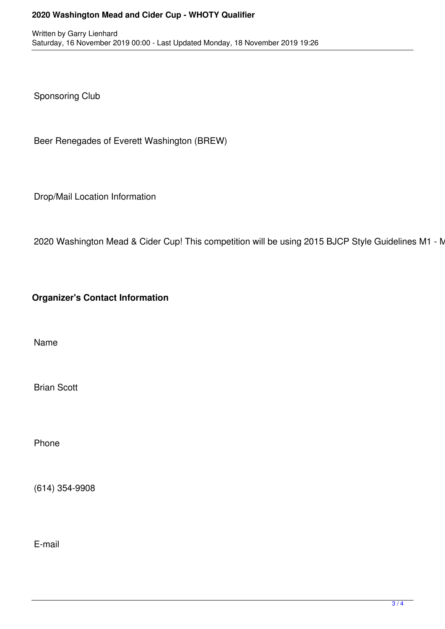## **2020 Washington Mead and Cider Cup - WHOTY Qualifier**

Sponsoring Club

Beer Renegades of Everett Washington (BREW)

Drop/Mail Location Information

2020 Washington Mead & Cider Cup! This competition will be using 2015 BJCP Style Guidelines M1 - N

**Organizer's Contact Information**

Name

Brian Scott

Phone

(614) 354-9908

E-mail